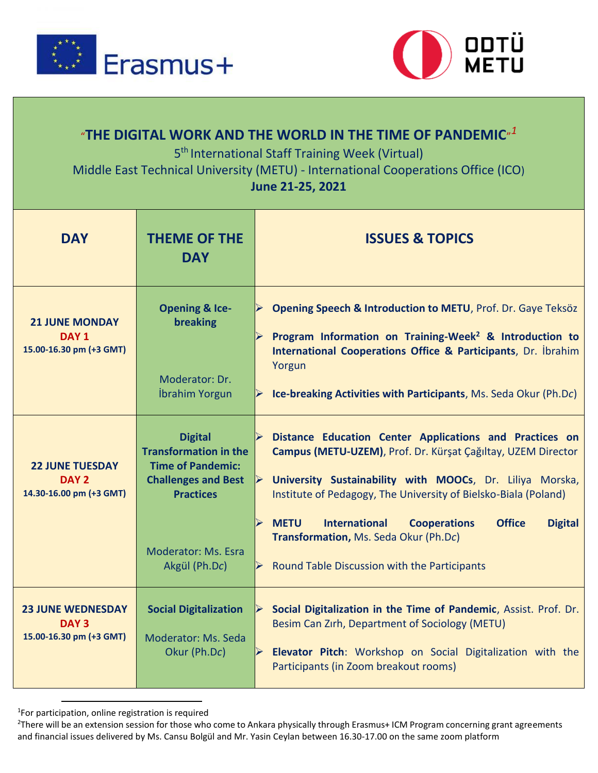



## $^{\prime\prime}$ THE DIGITAL WORK AND THE WORLD IN THE TIME OF PANDEMIC $^{\prime\prime}{}^{1}$

5<sup>th</sup> International Staff Training Week (Virtual)

Middle East Technical University (METU) - International Cooperations Office (ICO)

## **June 21-25, 2021**

| <b>DAY</b>                                                              | <b>THEME OF THE</b><br><b>DAY</b>                                                                                                                                    | <b>ISSUES &amp; TOPICS</b>                                                                                                                                                                                                                                                                                                                                                                                                                                                                                |
|-------------------------------------------------------------------------|----------------------------------------------------------------------------------------------------------------------------------------------------------------------|-----------------------------------------------------------------------------------------------------------------------------------------------------------------------------------------------------------------------------------------------------------------------------------------------------------------------------------------------------------------------------------------------------------------------------------------------------------------------------------------------------------|
| <b>21 JUNE MONDAY</b><br>DAY <sub>1</sub><br>15.00-16.30 pm (+3 GMT)    | <b>Opening &amp; Ice-</b><br>breaking<br>Moderator: Dr.<br>İbrahim Yorgun                                                                                            | Opening Speech & Introduction to METU, Prof. Dr. Gaye Teksöz<br>Program Information on Training-Week <sup>2</sup> & Introduction to<br>International Cooperations Office & Participants, Dr. İbrahim<br>Yorgun<br>Ice-breaking Activities with Participants, Ms. Seda Okur (Ph.Dc)                                                                                                                                                                                                                        |
| <b>22 JUNE TUESDAY</b><br>DAY 2<br>14.30-16.00 pm (+3 GMT)              | <b>Digital</b><br><b>Transformation in the</b><br><b>Time of Pandemic:</b><br><b>Challenges and Best</b><br><b>Practices</b><br>Moderator: Ms. Esra<br>Akgül (Ph.Dc) | $\blacktriangleright$<br>Distance Education Center Applications and Practices on<br>Campus (METU-UZEM), Prof. Dr. Kürşat Çağıltay, UZEM Director<br>University Sustainability with MOOCs, Dr. Liliya Morska,<br>$\blacktriangleright$<br>Institute of Pedagogy, The University of Bielsko-Biala (Poland)<br><b>METU</b><br><b>International</b><br><b>Office</b><br><b>Digital</b><br><b>Cooperations</b><br>Transformation, Ms. Seda Okur (Ph.Dc)<br><b>Round Table Discussion with the Participants</b> |
| <b>23 JUNE WEDNESDAY</b><br>DAY <sub>3</sub><br>15.00-16.30 pm (+3 GMT) | <b>Social Digitalization</b><br>Moderator: Ms. Seda<br>Okur (Ph.Dc)                                                                                                  | Social Digitalization in the Time of Pandemic, Assist. Prof. Dr.<br>$\blacktriangle$<br>Besim Can Zirh, Department of Sociology (METU)<br>Elevator Pitch: Workshop on Social Digitalization with the<br>$\blacktriangleright$<br>Participants (in Zoom breakout rooms)                                                                                                                                                                                                                                    |

1 For participation, online registration is required

 $\overline{a}$ 

<sup>&</sup>lt;sup>2</sup>There will be an extension session for those who come to Ankara physically through Erasmus+ ICM Program concerning grant agreements and financial issues delivered by Ms. Cansu Bolgül and Mr. Yasin Ceylan between 16.30-17.00 on the same zoom platform